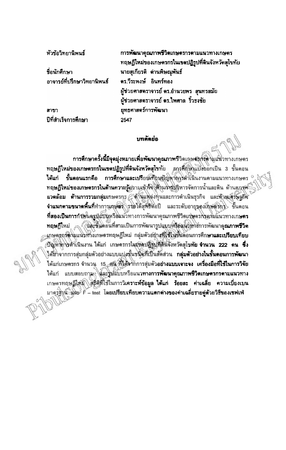หัวข้อวิทยานิพนธ์

รื่อนักศึกษา อาจารย์ที่ปรึกษาวิทยานิพนธ์

สาขา ปีที่สำเร็จการศึกษา

การพัฒนาคุณภาพชีวิตเกษตรกรดามแนวทางเกษตร ทฤษฎีใหม่ของเกษตรกรในเขตปฏิรูปที่ดินจังหวัดสุโขทัย นายสุเกียรติ ต่านพิษณุพันธ์ ดร.วีระพงษ์ อินทร์ทอง ผู้ช่วยศาสตราจารย์ ดร.อำนวยพร สุนทรสมัย ผู้ช่วยศาสตราจารย์ ดร.ไพศาล รั้วธงชัย ยุทธศาสตร์การพัฒนา 2547

## **unăndo**

<mark>การศึกษาครั้งนี้มีจุดมุ่งหมายเพื่อพัฒนาคุณภาพ</mark>ชีวิตเลุษ<del>สากัสดา</del>มแ้นวทางเกษตร ทฤษฎีใหม่ของเกษตรกรในเขตปฏิรูปที่ดินจังหวัดสุโขทัย อารุตั๊กซิ่งแบ๊งออกเป็น 3 ขั้นตอน ขั้นตอนแรกคือ การศึกษาและเปรียยมที่ยนฟัญหากุลุรดำเนินงานดามแนวทางเกษตร ได้แก่ ทฤษฎีใหม่ของเกษตรกรในด้านความรู้คนามเข้าใจให้งินการบริหารจัดการน้ำและดิน ด้านดูภูสุพิ นวดล้อม ด้านการรวมกลุ่มเกษตรกุร ด้านแห่ล่งทุนและการดำเนินธุรกิจ และด้านเตรษฐกิจ จำแนกตามขนาดพื้นที่ทำการเกษติจั\วริยใต้สุทธิตอบี และระดับอายุของเกษต์ริการ ขั้นตอน ที่สองเป็นการก็จัดแดงปู่แป้งพรือแน้วทางการพัฒนาคุณภาพชีวิตเกษตรกิจตลิมแนวทางเกษตร ทฤษฎีใหม่ (นิวจันตอนที่สามเป็นการพัฒนารูปแบบหรือแนวทางพัฒนาคุณภาพชีวิต นกษุตรกระทินแนวทางเกษตรทฤษฎีใหม่ กลุ่มตัวอยิกงูที่ใช้ในชั้นตอนการศึกษาและเปรียบเทียบ ปัญหาทางด้าเนินงาน ได้แก่ เกษตรกรในเขตปฏิรูปที่ดีนี้จังหวัดสุโขทัย จำนวน 222 คน ซึ่ง ได้มาจากการสุ่มกลุ่มตัวอย่างแบบแปลฐั้นชนิดที่เป็นสัดส่วน กลุ่มตัวอย่างในขั้นตอนการพัฒนา ได้แก่เกษตรกร จำนวน 15 สน ที่ได้จากการสุ่มตัวอย่างแบบเจาะจง เครื่องมือที่ใช้ในการวิจัย ได้แก่ แบบตอบถาม<sub>ั</sub> ได้ละชิปแบบหรือแนวทา**งการพัฒนาคุณภาพชีวิตเกษตรกรดามแนวทาง** เกษตรทฤษฎีให้มั่∖∖สติติที่ใช้ในการวิเคราะห์ข้อมูล ใต้แก่ ร้อยละ ค่าเฉลี่ย ความเบี่ยงเบน มาตร์ฐิงนิวน์ละ F – test โดยเปรียบเทียบความแตกต่างของคำเฉลี่ยรายคู่ตัวยวิธีของเซฟเฟ่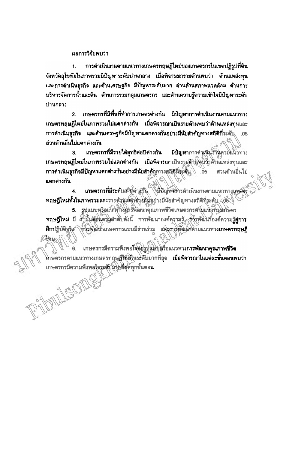ผลการวิจัยพบว่า

MARIONE

การดำเนินงานตามแนวทางเกษตรทฤษฎีใหม่ของเกษตรกรในเขตปฏิรูปที่ดิน  $1.$ จังหวัดสุโขทัยในภาพรวมมีปัญหาระดับปานกลาง เมื่อพิจารณารายด้านพบว่า ต้านแหล่งทุน ้และการดำเนินธุรกิจ และด้านเศรษฐกิจ มีปัญหาระดับมาก ส่วนด้านสภาพแวดล้อม ด้านการ ึบริหารจัดการน้ำและดิน ต้านการรวมกลุ่มเกษตรกร และด้านความรู้ความเข้าไจมีปัญหาระดับ ปานกลาง

้เกษตรกรที่มีพื้นที่ทำการเกษตรต่างกัน มีปัญหาการดำเนินงานตามแนวทาง  $2<sup>7</sup>$ เกษตรทฤษฎีไหม่ในภาพรวมไม่แตกต่างกัน เมื่อพิจารณาเป็นรายด้านพบว่าด้านแหล่งทุนและ การดำเนินธุรกิจ และด้านเศรษฐกิจมีปัญหาแตกต่างกันอย่างมีนัยสำคัญทางสถิติที่ระดับ .05 ส่วนด้านอื่นไม่แตกต่างกัน

 $\mathbf{3}$ เกษตรกรที่มีรายได้ลุทธิต่อปีต่างกัน มีปัญหาการดำเนินจำนดามแนวทาง เกษตรทฤษฎีใหม่ในภาพรวมไม่แตกต่างกัน เมื่อพิจารณาเป็นรายตัวนิพบจ๊าตัวนแหล่งทุนและ การดำเนินธุรกิจมีปัญหาแตกต่างกันอย่างมีนัยสำคัญทางสถิติที่ระดับ 65 ส่วนด้านอื่นไม่ แตกต่างกัน

เกษตรกรที่มีระดับอาชุตา สูญิน ไม้ปัญหามารดำเนินงานตามแนวทางเคษตุง ทฤษฎีไหม่ทั้งในภาพรวมและรายตัวนั้นตกติวส์ตันอย่างมีนัยสำคัญทางสถิติที่ระดับ 405

5. รูปแบบหรือแน้งทางการพัฒนาคุณภาพชีวิตเกษตรกรศามแน่งที่กุมกษตร ทฤษฎีใหม่ มี 4 ขั้นต่อแต่วิมลำดับดังนี้ การพัฒนาองค์ความรู้ การพัฒนาองค์ความรู้สู่การ ฝึกปฏิบัติจริง ที่กรุ่มตินาเกษตรกรแบบมีต่วนร่วม และอาจพัฒน์สตามแนวทางเกษตรทฤษฎี Sinu

เกษตรกรมีความพึงพอใจต่อรูปแบบหรือแนวทา**งการพัฒนาคุณภาพชีวิต** โทษตรกรตามแนวทางเกษตรทฤษฏึให้มีในร<del>ะ</del>ดับมากที่สุด **เมื่อพิจารณาในแต่ละขั้นตอนพ**บว่า เกษตรกรมีความพึงพอใจระดับมากที่สุดทุกขั้นตอน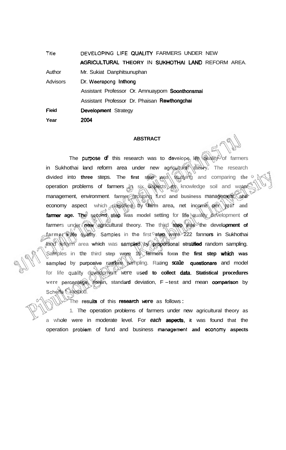**F ieid Year**  Trile **DEVELOPING LIFE QUALITY FARMERS UNDER NEW AGRICULTURAL THEORY IN SUKHOTHAI LAND REFORM AREA.** Author Mr. Sukiat Danphitsunuphan Advisors Dr. **Weerapong** lnthong Assistant Professor Or. Amnuayporn Soonthonsmai Assistant Professor Dr. Phaisan Rewthongchai Development Strategy **2004** 

## **ABSTRACT**

The **purposa of** this research was to **develape** life quality of farmers in Sukhothai land reform area under new agricultural *Affeory*. The research divided into **three** steps. The first step was studying and comparing the operation problems of farmers in six aspects as knowledge soil and water management, environment. **farmer** grouping fund **and business** management, **and**  economy aspect which classified **by farm area, net income per year and farmer age. The second step was model setting for life guality development of** farmers under **new agricultural theory.** The third step was the development of **farmer's life qua#ty. Sarnpbs** in **the** first **step were 222 fanners** in Sukhothai fand reform area which was sampled by proportional stratified random sampling. Samples in **the** third **step were 15 famrs form** the **first step which was**  sampled by purposive random sampling. Rating scale questionare and model for life quality development were used to collect data. Statistical procedures were percentage, mean, standard deviation, F-test and mean comparison by **Scheffe** ' method.

The **results** of this **researcfi were** as follows :

1. The operation problems of farmers under new agricultural theory as a whole were in moderate level. For each **aspects**, it was found that the **operation problem of fund and business management and economy aspects**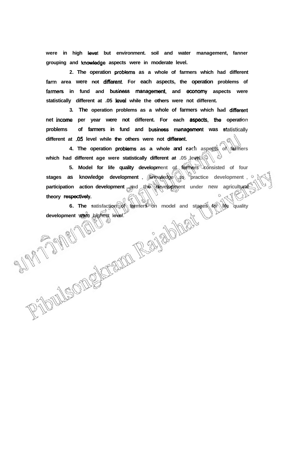**were in high level but environment. soil and water management, fanner grouping and knowledge aspects were in moderate level.** 

**2. The operation problems as a whole of farmers which had different**  farm area were not different. For each aspects, the operation problems of farmers in fund and business management, and economy aspects were statistically different at .05 level while the others were not different.

**3. The operation problems as a whole of farmers which had different net income per year were not different. For each aspects, the operation** problems of farmers in fund and business management was statistically **different at -05 level while the others were not different.** 

**4. The operation problems as a whole and each aspects of farmers which had different age were statistically different at .05 level.** 

**5. Model for life quality development of fanners consisted of four stages as knowledge development** , *knowledge* to practice development ,  $\circ$ participation action development and the development under new agricultural **theory respectivety** .

**6.** The satisfaction of farmers on model and stages for life quality ent was highest level. development wore highest level.